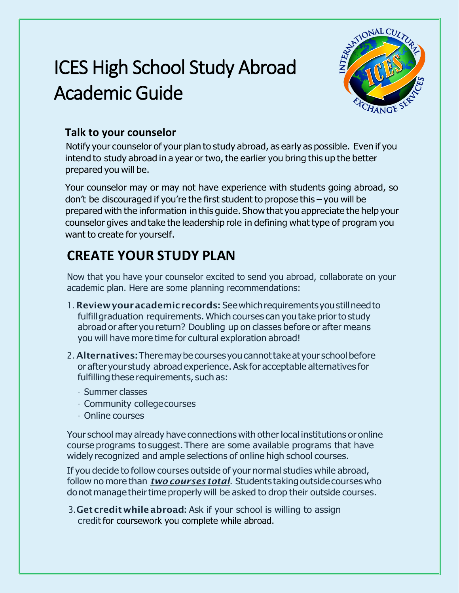# ICES High School Study Abroad Academic Guide



# **Talk to your counselor**

Notify your counselor of your plan to study abroad, as early as possible. Even if you intend to study abroad in a year or two, the earlier you bring this up the better prepared you will be.

Your counselor may or may not have experience with students going abroad, so don't be discouraged if you're the first student to propose this – you will be prepared with the information in this guide. Show that you appreciate the help your counselor gives and take the leadership role in defining what type of program you want to create for yourself.

# **CREATE YOUR STUDY PLAN**

Now that you have your counselor excited to send you abroad, collaborate on your academic plan. Here are some planning recommendations:

- 1. Review your academic records: See which requirements you still need to fulfill graduation requirements. Which courses can you take prior to study abroad or after you return? Doubling up on classes before or after means you will have more time for cultural exploration abroad!
- 2. Alternatives: There may be courses you cannot take at your school before or after your study abroad experience. Ask for acceptable alternatives for fulfilling these requirements, such as:
	- Summer classes
	- Community collegecourses
	- Online courses

Your school may already have connections with other local institutions or online course programs to suggest.There are some available programs that have widely recognized and ample selections of online high school courses.

If you decide to follow courses outside of your normal studies while abroad, follow no more than *two courses total*. Students takingoutside courseswho do not manage their time properly will be asked to drop their outside courses.

3. Get credit while abroad: Ask if your school is willing to assign credit for coursework you complete while abroad.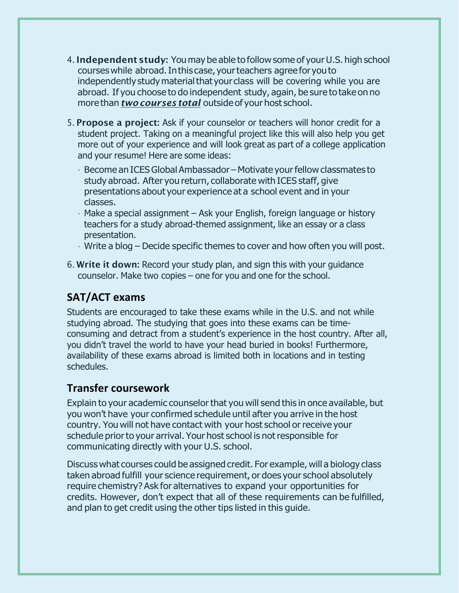- 4. Independent study: You may be able to follow some of your U.S. high school courseswhile abroad.Inthis case, yourteachers agree for youto independently study material that your class will be covering while you are abroad. If you choose to do independent study, again, be sure to take on no more than *two courses total* outside of your host school.
- 5. Propose a project: Ask if your counselor or teachers will honor credit for a student project. Taking on a meaningful project like this will also help you get more out of your experience and will look great as part of a college application and your resume! Here are some ideas:
	- $\cdot$  Become an ICES Global Ambassador Motivate your fellow classmates to study abroad. After you return, collaborate with ICES staff, give presentations about your experience at a school event and in your classes.
	- Make a special assignment Ask your English, foreign language or history teachers for a study abroad-themed assignment, like an essay or a class presentation.
	- $\cdot$  Write a blog Decide specific themes to cover and how often you will post.
- 6. Write it down: Record your study plan, and sign this with your guidance counselor. Make two copies – one for you and one for the school.

## **SAT/ACT exams**

Students are encouraged to take these exams while in the U.S. and not while studying abroad. The studying that goes into these exams can be timeconsuming and detract from a student's experience in the host country. After all, you didn't travel the world to have your head buried in books! Furthermore, availability of these exams abroad is limited both in locations and in testing schedules.

#### **Transfer coursework**

Explain to your academic counselorthat you will send this in once available, but you won't have your confirmed schedule until after you arrive in the host country. You will not have contact with your host school or receive your schedule prior to your arrival. Your host school is not responsible for communicating directly with your U.S. school.

Discuss what courses could be assigned credit. For example, will a biology class taken abroad fulfill your science requirement, or does your school absolutely require chemistry? Ask for alternatives to expand your opportunities for credits. However, don't expect that all of these requirements can be fulfilled, and plan to get credit using the other tips listed in this guide.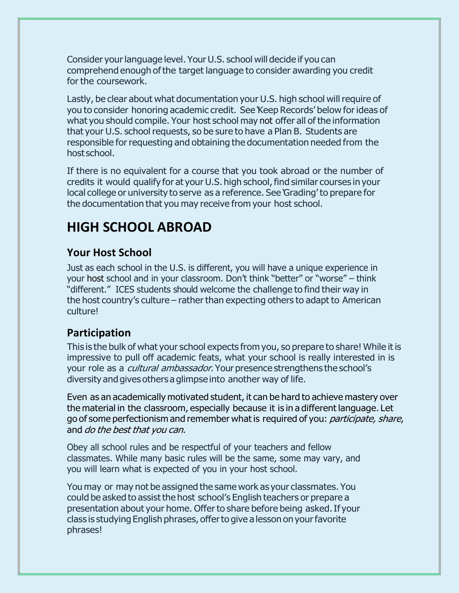Consider your language level. Your U.S. school will decide if you can comprehend enough ofthe target language to consider awarding you credit for the coursework.

Lastly, be clear about what documentation your U.S. high school will require of you to consider honoring academic credit. See 'Keep Records' below forideas of what you should compile. Your host school may not offer all of the information that your U.S. school requests, so be sure to have a Plan B. Students are responsible for requesting and obtaining the documentation needed from the host school.

If there is no equivalent for a course that you took abroad or the number of credits it would qualify for at your U.S. high school, find similar courses in your local college or university to serve as a reference. See 'Grading' to prepare for the documentation that you may receive from your host school.

# **HIGH SCHOOL ABROAD**

## **Your Host School**

Just as each school in the U.S. is different, you will have a unique experience in your host school and in your classroom. Don't think "better" or "worse" – think "different." ICES students should welcome the challenge to find their way in the host country's culture – rather than expecting others to adapt to American culture!

## **Participation**

This is the bulk of what your school expects from you, so prepare to share! While it is impressive to pull off academic feats, what your school is really interested in is your role as a *cultural ambassador*. Your presence strengthens the school's diversity and gives others a glimpse into another way of life.

Even as an academically motivated student, it can be hard to achieve mastery over the material in the classroom, especially because it is in a different language. Let go of some perfectionism and remember what is required of you: *participate, share*, and do the best that you can.

Obey all school rules and be respectful of your teachers and fellow classmates. While many basic rules will be the same, some may vary, and you will learn what is expected of you in your host school.

You may or may not be assigned the same work as your classmates. You could be asked to assist the host school's English teachers or prepare a presentation about your home. Offer to share before being asked. If your class is studying English phrases, offerto give a lesson on yourfavorite phrases!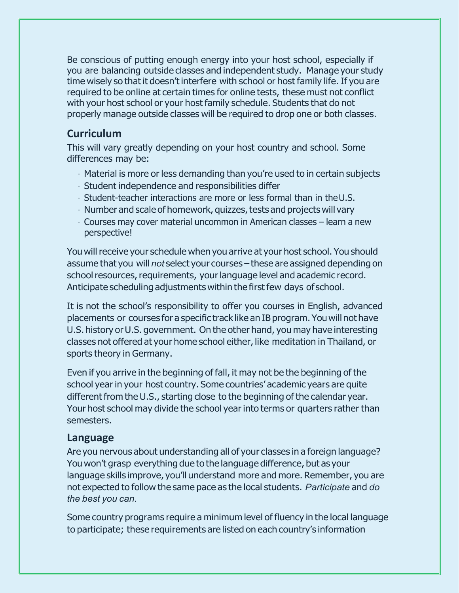Be conscious of putting enough energy into your host school, especially if you are balancing outside classes and independent study. Manage your study time wisely so that it doesn't interfere with school or host family life. If you are required to be online at certain times for online tests, these must not conflict with your host school or your host family schedule. Students that do not properly manage outside classes will be required to drop one or both classes.

#### **Curriculum**

This will vary greatly depending on your host country and school. Some differences may be:

- Material is more or less demanding than you're used to in certain subjects
- Student independence and responsibilities differ
- Student-teacher interactions are more or less formal than in theU.S.
- $\cdot$  Number and scale of homework, quizzes, tests and projects will vary
- Courses may cover material uncommon in American classes learn a new perspective!

You will receive your schedule when you arrive at your host school. You should assume that you will *not* select your courses – these are assigned depending on school resources, requirements, your language level and academic record. Anticipate scheduling adjustments within the first few days of school.

It is not the school's responsibility to offer you courses in English, advanced placements or courses for a specific track like an IB program. Youwill not have U.S. history or U.S. government. On the other hand, you may have interesting classes not offered at your home school either, like meditation in Thailand, or sports theory in Germany.

Even if you arrive in the beginning of fall, it may not be the beginning of the school year in your host country. Some countries' academic years are quite different from the U.S., starting close to the beginning of the calendar year. Your host school may divide the school yearinto terms or quarters rather than semesters.

#### **Language**

Are you nervous about understanding all of your classes in a foreign language? You won't grasp everything due to the language difference, but as your language skills improve, you'll understand more and more. Remember, you are not expected to follow the same pace as the local students. *Participate* and *do the best you can.*

Some country programs require a minimum level of fluency in the local language to participate; these requirements are listed on each country's information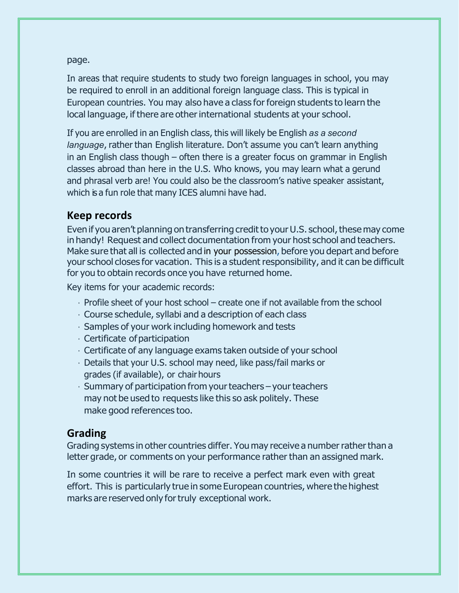page.

In areas that require students to study two foreign languages in school, you may be required to enroll in an additional foreign language class. This is typical in European countries. You may also have a class for foreign students to learn the local language, if there are other international students at your school.

If you are enrolled in an English class, this will likely be English *as a second language*, rather than English literature. Don't assume you can't learn anything in an English class though – often there is a greater focus on grammar in English classes abroad than here in the U.S. Who knows, you may learn what a gerund and phrasal verb are! You could also be the classroom's native speaker assistant, which is a fun role that many ICES alumni have had.

#### **Keep records**

Even if you aren't planning on transferring credit to your U.S. school, these may come in handy! Request and collect documentation from your host school and teachers. Make sure that all is collected and in your possession, before you depart and before your school closes for vacation. This is a student responsibility, and it can be difficult for you to obtain records once you have returned home.

Key items for your academic records:

- $\cdot$  Profile sheet of your host school create one if not available from the school
- Course schedule, syllabi and a description of each class
- Samples of your work including homework and tests
- $\cdot$  Certificate of participation
- Certificate of any language exams taken outside of your school
- Details that your U.S. school may need, like pass/fail marks or grades (if available), or chairhours
- $\cdot$  Summary of participation from your teachers your teachers may not be used to requests like this so ask politely. These make good references too.

## **Grading**

Grading systems in other countries differ. You may receive a number rather than a letter grade, or comments on your performance rather than an assigned mark.

In some countries it will be rare to receive a perfect mark even with great effort. This is particularly true in some European countries, where the highest marks are reserved only for truly exceptional work.